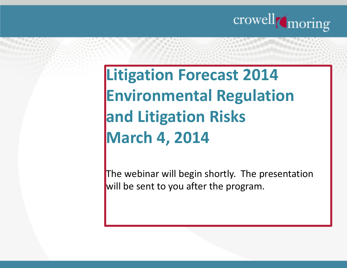

### **Litigation Forecast 2014 Environmental Regulation and Litigation RisksMarch 4, 2014**

The webinar will begin shortly. The presentation will be sent to you after the program.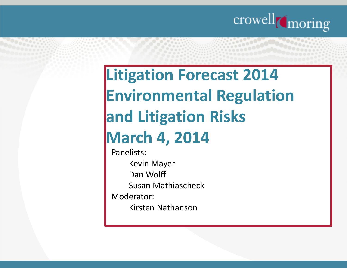

### **Litigation Forecast 2014 Environmental Regulation and Litigation RisksMarch 4, 2014**

Panelists:Kevin MayerDan WolffSusan MathiascheckModerator:Kirsten Nathanson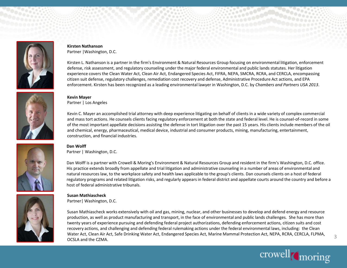

#### **Kirsten Nathanson**Partner |Washington, D.C.

Kirsten L. Nathanson is a partner in the firm's Environment & Natural Resources Group focusing on environmental litigation, enforcement defense, risk assessment, and regulatory counseling under the major federal environmental and public lands statutes. Her litigation experience covers the Clean Water Act, Clean Air Act, Endangered Species Act, FIFRA, NEPA, SMCRA, RCRA, and CERCLA, encompassing citizen suit defense, regulatory challenges, remediation cost recovery and defense, Administrative Procedure Act actions, and EPA enforcement. Kirsten has been recognized as a leading environmental lawyer in Washington, D.C. by *Chambers and Partners USA 2013*.



#### **Kevin Mayer**Partner | Los Angeles

Kevin C. Mayer an accomplished trial attorney with deep experience litigating on behalf of clients in a wide variety of complex commercial and mass tort actions. He counsels clients facing regulatory enforcement at both the state and federal level. He is counsel-of-record in some of the most important appellate decisions assisting the defense in tort litigation over the past 15 years. His clients include members of the oil and chemical, energy, pharmaceutical, medical device, industrial and consumer products, mining, manufacturing, entertainment,construction, and financial industries.

#### **Dan Wolff**Partner | Washington, D.C.

Dan Wolff is a partner with Crowell & Moring's Environment & Natural Resources Group and resident in the firm's Washington, D.C. office. His practice extends broadly from appellate and trial litigation and administrative counseling in a number of areas of environmental and natural resources law, to the workplace safety and health laws applicable to the group's clients. Dan counsels clients on a host of federal regulatory programs and related litigation risks, and regularly appears in federal district and appellate courts around the country and before a host of federal administrative tribunals.



#### **Susan Mathiascheck**

Partner| Washington, D.C.

Susan Mathiascheck works extensively with oil and gas, mining, nuclear, and other businesses to develop and defend energy and resource production, as well as product manufacturing and transport, in the face of environmental and public lands challenges. She has more than twenty years of experience pursuing and defending federal project authorizations, defending enforcement actions, citizen suits and cost recovery actions, and challenging and defending federal rulemaking actions under the federal environmental laws, including: the Clean Water Act, Clean Air Act, Safe Drinking Water Act, Endangered Species Act, Marine Mammal Protection Act, NEPA, RCRA, CERCLA, FLPMA, OCSLA and the CZMA.



3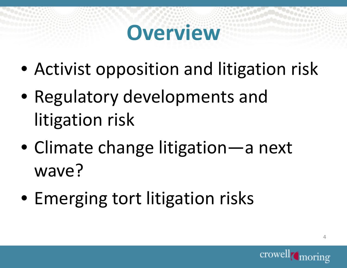## **Overview**

- Activist opposition and litigation risk
- Regulatory developments and litigation risk
- Climate change litigation—a next wave?
- Emerging tort litigation risks

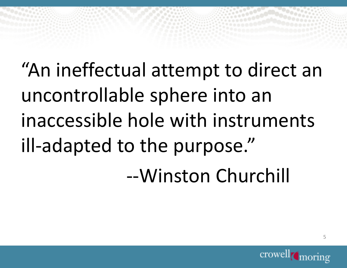"An ineffectual attempt to direct an uncontrollable sphere into an inaccessible hole with instruments ill-adapted to the purpose."

--Winston Churchill

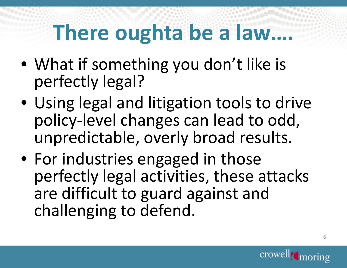# **There oughta be a law….**

- What if something you don't like is perfectly legal?
- Using legal and litigation tools to drive policy-level changes can lead to odd, unpredictable, overly broad results.
- For industries engaged in those perfectly legal activities, these attacks are difficult to guard against and challenging to defend.

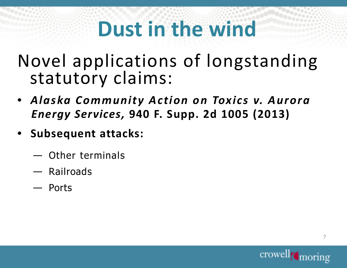# **Dust in the wind**

Novel applications of longstanding statutory claims:

- *Alaska Community Action on Toxics v. Aurora Energy Services,* **940 F. Supp. 2d 1005 (2013)**
- **Subsequent attacks:** 
	- —————————————— Other terminals
	- Railroads
	- Ports

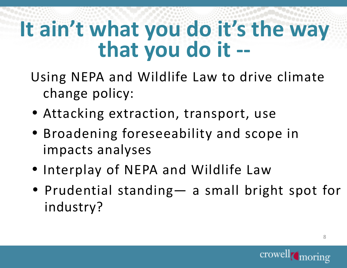## **It ain't what you do it's the way that you do it --**

- Using NEPA and Wildlife Law to drive climate change policy:
- Attacking extraction, transport, use
- Broadening foreseeability and scope in impacts analyses
- Interplay of NEPA and Wildlife Law
- Prudential standing— <sup>a</sup> small bright spot for industry?

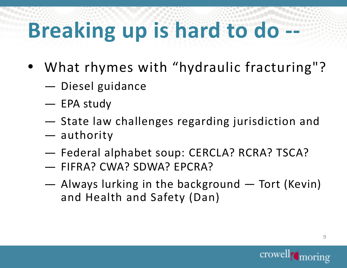# **Breaking up is hard to do**

- What rhymes with "hydraulic fracturing"?
	- Diesel guidance<br>————————————————————
	- EPA study<br>—
	- State law challenges regarding jurisdiction and<br>authority
	- authority<br>—————————
	- Federal alphabet soup: CERCLA? RCRA? TSCA?
	- FIFRA? CWA? SDWA? EPCRA?
	- Always lurking in the background Tort (Kevin)<br>and Health and Safety (Dan) and Health and Safety (Dan)

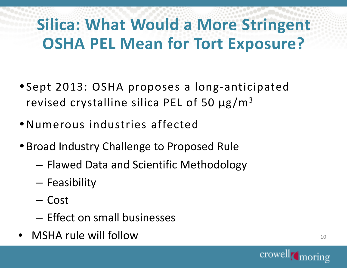### **Silica: What Would a More Stringent OSHA PEL Mean for Tort Exposure?**

- Sept 2013: OSHA proposes a long-anticipated revised crystalline silica PEL of 50  $\mu$ g/m<sup>3</sup>
- Numerous industries affected
- Broad Industry Challenge to Proposed Rule
	- – $-$  Flawed Data and Scientific Methodology
	- –— Feasibility
	- Cost
	- – $-$  Effect on small businesses
- •MSHA rule will follow

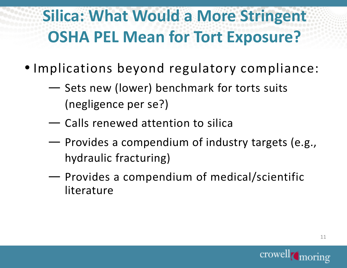### **Silica: What Would a More Stringent OSHA PEL Mean for Tort Exposure?**

- Implications beyond regulatory compliance:
	- $\sim$ Sets new (lower) benchmark for torts suits<br>Anaeliesnes newser ? (negligence per se?)
	- $\sim$  $\leftarrow$  Calls renewed attention to silica
	- ——————————————— Provides a compendium of industry targets (e.g.,<br>preligitie freeturing) hydraulic fracturing)
	- $\sim$ **Provides a compendium of medical/scientific**<br>literature literature

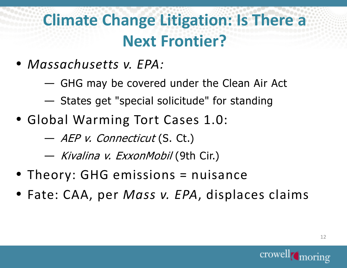### **Climate Change Litigation: Is There a Next Frontier?**

- *Massachusetts v. EPA:*
	- ——————————————— GHG may be covered under the Clean Air Act
	- States get "special solicitude" for standing
- Global Warming Tort Cases 1.0:
	- ——————————————— *— AEP v. Connecticut* (S. Ct.)<br>*Vi. Ji. –* 7
	- *Kivalina v. ExxonMobil* (9th Cir.)<br>—
- Theory: GHG emissions = nuisance
- Fate: CAA, per *Mass v. EPA*, displaces claims

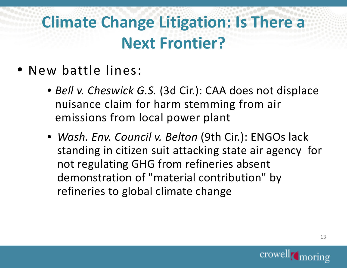#### **Climate Change Litigation: Is There a Next Frontier?**

- New battle lines:
	- *Bell v. Cheswick G.S.* (3d Cir.): CAA does not displace nuisance claim for harm stemming from air emissions from local power plant
	- *Wash. Env. Council v. Belton* (9th Cir.): ENGOs lack standing in citizen suit attacking state air agency for not regulating GHG from refineries absent demonstration of "material contribution" by refineries to global climate change

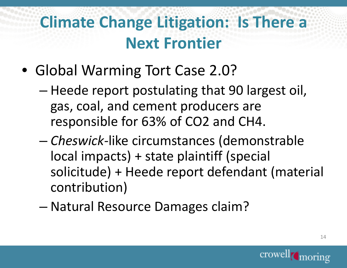### **Climate Change Litigation: Is There a Next Frontier**

- Global Warming Tort Case 2.0?
	- **Hart Committee**  Heede report postulating that 90 largest oil, gas, coal, and cement producers are responsible for 63% of CO2 and CH4.
	- – *Cheswick-*like circumstances (demonstrable local impacts) + state plaintiff (special solicitude) + Heede report defendant (material contribution)
	- and the state of the con-Natural Resource Damages claim?

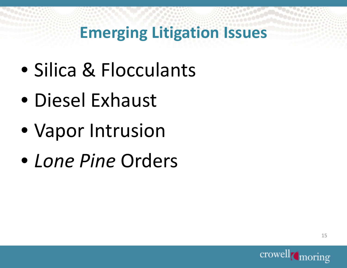### **Emerging Litigation Issues**

- Silica & Flocculants
- Diesel Exhaust
- Vapor Intrusion
- *Lone Pine* Orders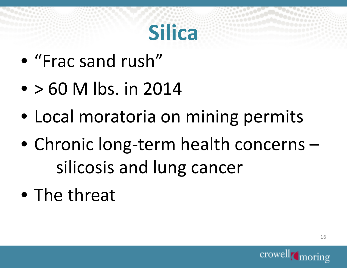# **Silica**

- "Frac sand rush"
- $\bullet$  > 60 M lbs. in 2014
- Local moratoria on mining permits
- Chronic long-term health concerns –silicosis and lung cancer
- The threat

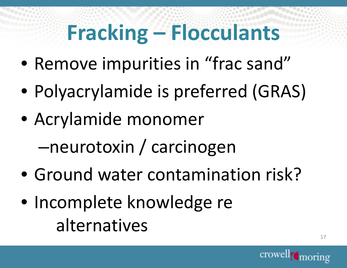# **Fracking – Flocculants**

- Remove impurities in "frac sand"
- Polyacrylamide is preferred (GRAS)
- Acrylamide monomer

–neurotoxin / carcinogen

- Ground water contamination risk?
- Incomplete knowledge re alternatives

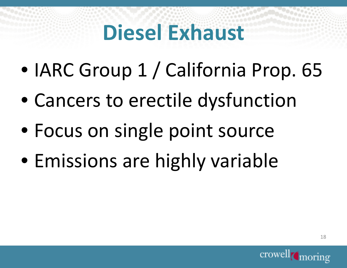# **Diesel Exhaust**

- IARC Group 1 / California Prop. 65
- $\bullet$ Cancers to erectile dysfunction
- Focus on single point source
- Emissions are highly variable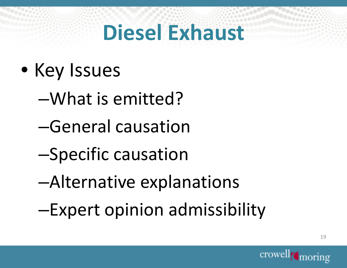# **Diesel Exhaust**

- Key Issues
	- –What is emitted?
	- –General causation
	- –Specific causation
	- –Alternative explanations
	- –Expert opinion admissibility

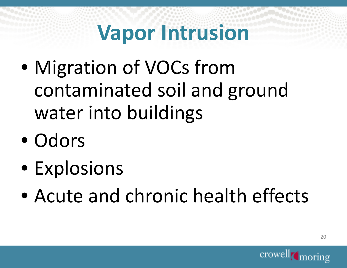- $\bullet$  Migration of VOCs from contaminated soil and ground water into buildings
- Odors
- Explosions
- $\bullet$ Acute and chronic health effects

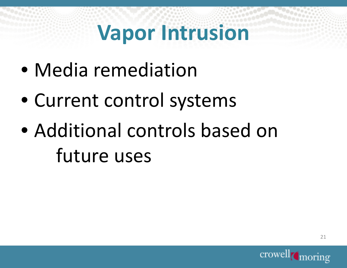- Media remediation
- Current control systems
- Additional controls based on future uses

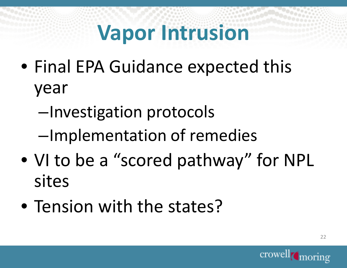- Final EPA Guidance expected this year
	- –Investigation protocols
	- –Implementation of remedies
- VI to be a "scored pathway" for NPLsites
- Tension with the states?

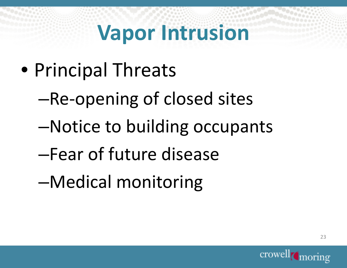- Principal Threats
	- –Re-opening of closed sites
	- –Notice to building occupants
	- –Fear of future disease
	- –Medical monitoring

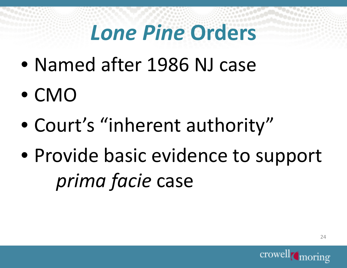# *Lone Pine* **Orders**

- $\bullet$ Named after 1986 NJ case
- CMO
- $\bullet$ Court's "inherent authority"
- Provide basic evidence to support *prima facie*e case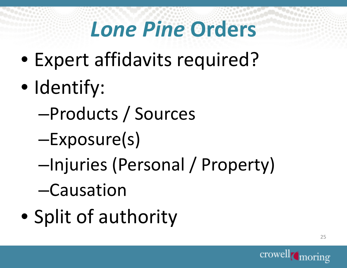# *Lone Pine* **Orders**

- $\bullet$ Expert affidavits required?
- $\bullet$ • Identify:
	- –Products / Sources
	- –Exposure(s)
	- –Injuries (Personal / Property)
	- –Causation
- $\bullet$ • Split of authority

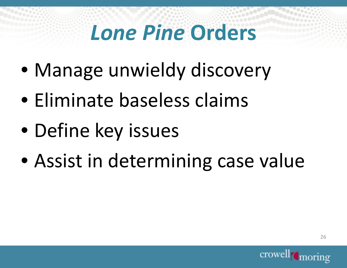# *Lone Pine* **Orders**

- Manage unwieldy discovery
- Eliminate baseless claims
- $\bullet$ Define key issues
- Assist in determining case value